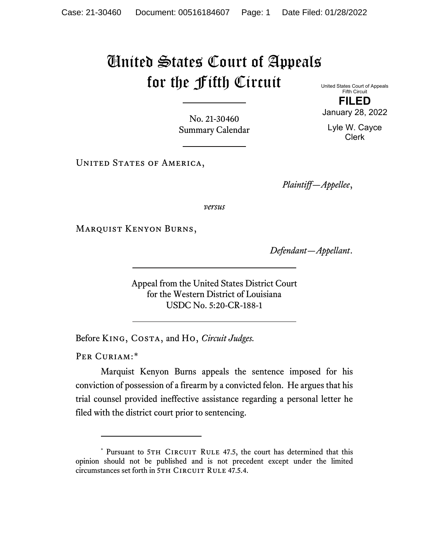## United States Court of Appeals for the Fifth Circuit

United States Court of Appeals Fifth Circuit **FILED** January 28, 2022

Lyle W. Cayce Clerk

No. 21-30460 Summary Calendar

UNITED STATES OF AMERICA,

*Plaintiff—Appellee*,

*versus*

Marquist Kenyon Burns,

*Defendant—Appellant*.

Appeal from the United States District Court for the Western District of Louisiana USDC No. 5:20-CR-188-1

Before King, Costa, and Ho, *Circuit Judges.*

PER CURIAM:[\\*](#page-0-0)

Marquist Kenyon Burns appeals the sentence imposed for his conviction of possession of a firearm by a convicted felon. He argues that his trial counsel provided ineffective assistance regarding a personal letter he filed with the district court prior to sentencing.

<span id="page-0-0"></span><sup>\*</sup> Pursuant to 5TH CIRCUIT RULE 47.5, the court has determined that this opinion should not be published and is not precedent except under the limited circumstances set forth in 5TH CIRCUIT RULE 47.5.4.